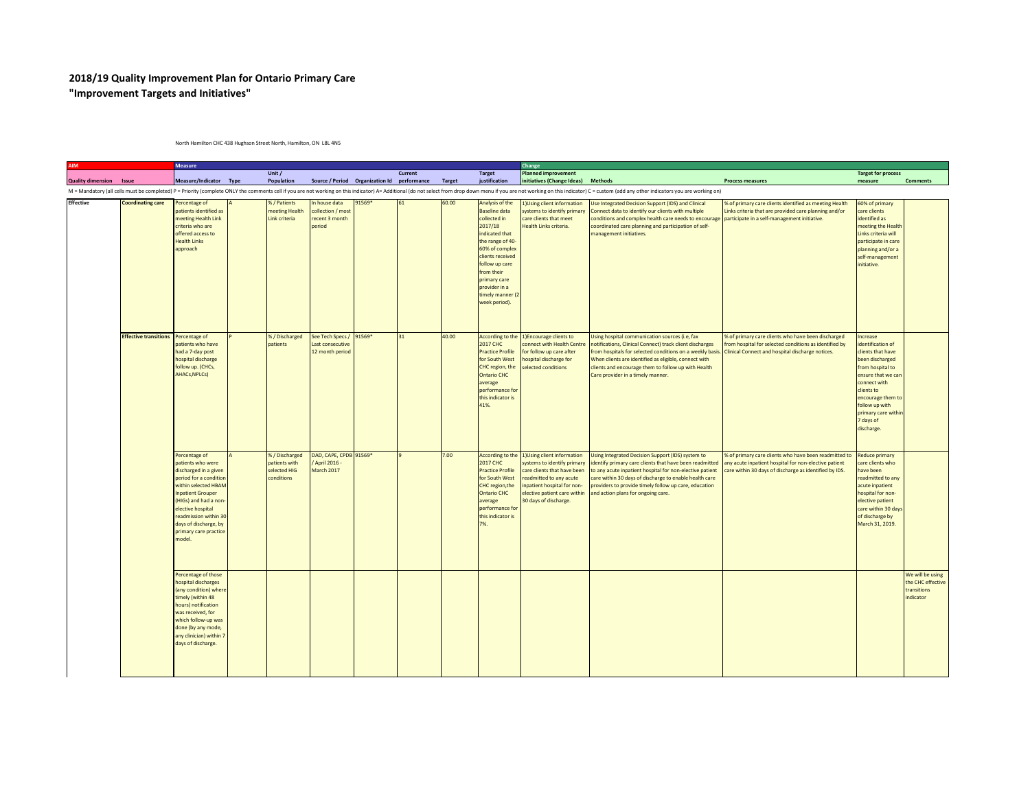## **2018/19 Quality Improvement Plan for Ontario Primary Care "Improvement Targets and Initiatives"**

North Hamilton CHC 438 Hughson Street North, Hamilton, ON L8L 4N5

|                                |                              | <b>Measure</b>                                                                                                                                                                                                                                                              |                                                             |                                                                |                                             |         |        |                                                                                                                                                                                                                                                      | Change                                                                                                                                                                                                      |                                                                                                                                                                                                                                                                                                                                         |                                                                                                                                                                          |                                                                                                                                                                                                                                        |                                                                  |
|--------------------------------|------------------------------|-----------------------------------------------------------------------------------------------------------------------------------------------------------------------------------------------------------------------------------------------------------------------------|-------------------------------------------------------------|----------------------------------------------------------------|---------------------------------------------|---------|--------|------------------------------------------------------------------------------------------------------------------------------------------------------------------------------------------------------------------------------------------------------|-------------------------------------------------------------------------------------------------------------------------------------------------------------------------------------------------------------|-----------------------------------------------------------------------------------------------------------------------------------------------------------------------------------------------------------------------------------------------------------------------------------------------------------------------------------------|--------------------------------------------------------------------------------------------------------------------------------------------------------------------------|----------------------------------------------------------------------------------------------------------------------------------------------------------------------------------------------------------------------------------------|------------------------------------------------------------------|
| <b>Quality dimension Issue</b> |                              | Measure/Indicator Type                                                                                                                                                                                                                                                      | Unit /<br>Population                                        |                                                                | Source / Period Organization Id performance | Current | Target | <b>Target</b><br>justification                                                                                                                                                                                                                       | Planned improvement<br>initiatives (Change Ideas) Methods                                                                                                                                                   |                                                                                                                                                                                                                                                                                                                                         | <b>Process measures</b>                                                                                                                                                  | <b>Target for process</b><br>measure                                                                                                                                                                                                   | <b>Comments</b>                                                  |
|                                |                              |                                                                                                                                                                                                                                                                             |                                                             |                                                                |                                             |         |        |                                                                                                                                                                                                                                                      |                                                                                                                                                                                                             | M = Mandatory (all cells must be completed) P = Priority (complete ONLY the comments cell if you are not working on this indicator) A= Additional (do not select from drop down menu if you are not working on this indicator)                                                                                                          |                                                                                                                                                                          |                                                                                                                                                                                                                                        |                                                                  |
| <b>Effective</b>               | <b>Coordinating care</b>     | Percentage of<br>patients identified as<br>meeting Health Link<br>criteria who are<br>offered access to<br><b>Health Links</b><br>approach                                                                                                                                  | %/Patients<br>neeting Health<br>Link criteria               | In house data<br>collection / most<br>recent 3 month<br>period | 91569*                                      | 61      | 60.00  | Analysis of the<br><b>Baseline data</b><br>collected in<br>2017/18<br>indicated that<br>the range of 40-<br>60% of complex<br>clients received<br>follow up care<br>from their<br>primary care<br>provider in a<br>timely manner (2<br>week period). | 1) Using client information<br>systems to identify primary<br>care clients that meet<br>Health Links criteria.                                                                                              | <b>Jse Integrated Decision Support (IDS) and Clinical</b><br>Connect data to identify our clients with multiple<br>conditions and complex health care needs to encourage<br>coordinated care planning and participation of self-<br>nanagement initiatives.                                                                             | % of primary care clients identified as meeting Health<br>Links criteria that are provided care planning and/or<br>participate in a self-management initiative.          | 60% of primary<br>care clients<br>identified as<br>meeting the Health<br>Links criteria will<br>participate in care<br>planning and/or a<br>self-management<br>initiative.                                                             |                                                                  |
|                                | <b>Effective transitions</b> | Percentage of<br>patients who have<br>had a 7-day post<br>hospital discharge<br>follow up. (CHCs,<br><b>AHACs, NPLCs)</b>                                                                                                                                                   | %/Discharged<br>patients                                    | See Tech Specs /<br>Last consecutive<br>12 month period        | 91569*                                      | 31      | 40.00  | According to the<br><b>2017 CHC</b><br><b>Practice Profile</b><br>for South West<br>CHC region, the<br><b>Ontario CHC</b><br>average<br>performance for<br>this indicator is<br>41%.                                                                 | 1) Encourage clients to<br>connect with Health Centre<br>for follow up care after<br>hospital discharge for<br>selected conditions                                                                          | Using hospital communication sources (i.e, fax<br>notifications, Clinical Connect) track client discharges<br>from hospitals for selected conditions on a weekly basis.<br>When clients are identified as eligible, connect with<br>clients and encourage them to follow up with Health<br>Care provider in a timely manner.            | % of primary care clients who have been discharged<br>from hospital for selected conditions as identified by<br>Clinical Connect and hospital discharge notices.         | Increase<br>identification of<br>clients that have<br>been discharged<br>from hospital to<br>ensure that we car<br>connect with<br>clients to<br>encourage them to<br>follow up with<br>primary care within<br>7 days of<br>discharge. |                                                                  |
|                                |                              | Percentage of<br>patients who were<br>discharged in a given<br>period for a conditio<br>within selected HBAM<br><b>Inpatient Grouper</b><br>(HIGs) and had a non-<br>elective hospital<br>readmission within 30<br>days of discharge, by<br>primary care practice<br>model. | %/Discharged<br>patients with<br>selected HIG<br>conditions | DAD, CAPE, CPDB 91569*<br>/ April 2016 -<br>March 2017         |                                             |         | 7.00   | According to the<br><b>2017 CHC</b><br><b>Practice Profile</b><br>for South West<br>CHC region, the<br><b>Ontario CHC</b><br>average<br>performance for<br>this indicator is<br>7%                                                                   | 1) Using client information<br>systems to identify primary<br>care clients that have been<br>eadmitted to any acute<br>inpatient hospital for non-<br>elective patient care within<br>30 days of discharge. | <b>Jsing Integrated Decision Support (IDS) system to</b><br>identify primary care clients that have been readmitted<br>o any acute inpatient hospital for non-elective patient<br>care within 30 days of discharge to enable health care<br>providers to provide timely follow up care, education<br>ind action plans for ongoing care. | % of primary care clients who have been readmitted to<br>any acute inpatient hospital for non-elective patient<br>care within 30 days of discharge as identified by IDS. | <b>Reduce primary</b><br>care clients who<br>have been<br>readmitted to any<br>acute inpatient<br>hospital for non-<br>elective patient<br>care within 30 day<br>of discharge by<br>March 31, 2019.                                    |                                                                  |
|                                |                              | Percentage of those<br>ospital discharges<br>(any condition) where<br>timely (within 48<br>hours) notification<br>was received, for<br>which follow-up was<br>done (by any mode,<br>any clinician) within 7<br>days of discharge.                                           |                                                             |                                                                |                                             |         |        |                                                                                                                                                                                                                                                      |                                                                                                                                                                                                             |                                                                                                                                                                                                                                                                                                                                         |                                                                                                                                                                          |                                                                                                                                                                                                                                        | We will be using<br>the CHC effective<br>transitions<br>ndicator |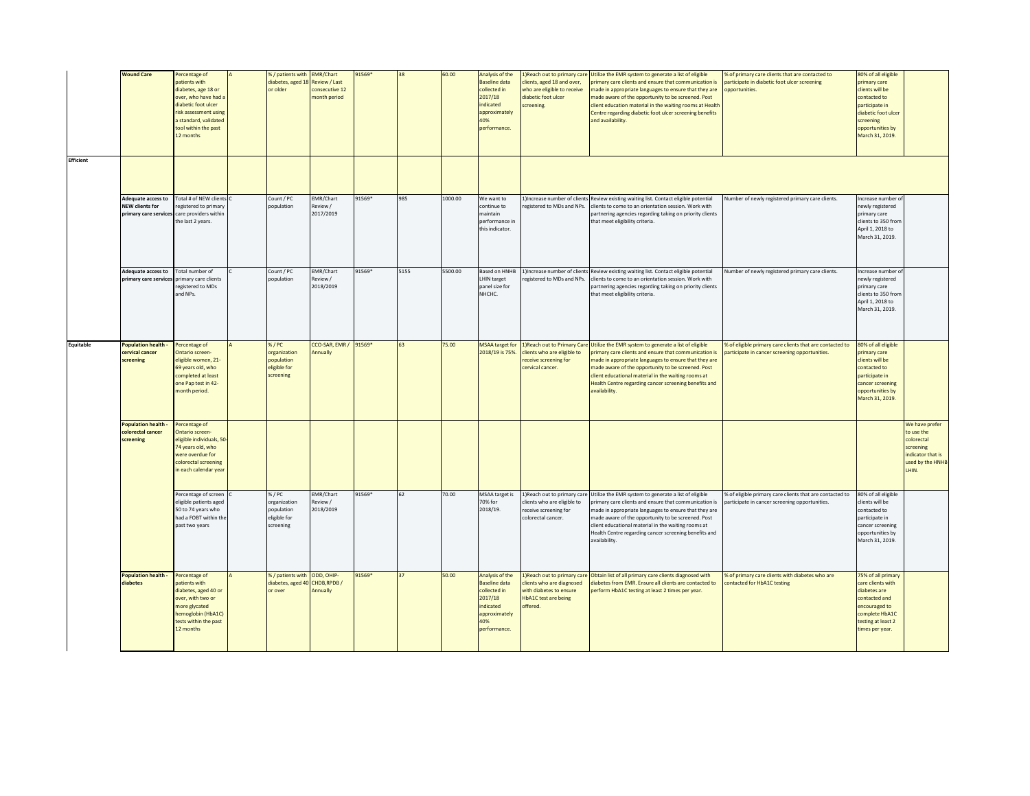|                  | <b>Wound Care</b>                                                | Percentage of                                 | %/ patients with EMR/Chart |                                   | 91569* | 38   | 60.00   | Analysis of the                           |                                                            | 1) Reach out to primary care Utilize the EMR system to generate a list of eligible                                                            | % of primary care clients that are contacted to                                                            | 80% of all eligible                   |                         |
|------------------|------------------------------------------------------------------|-----------------------------------------------|----------------------------|-----------------------------------|--------|------|---------|-------------------------------------------|------------------------------------------------------------|-----------------------------------------------------------------------------------------------------------------------------------------------|------------------------------------------------------------------------------------------------------------|---------------------------------------|-------------------------|
|                  |                                                                  | natients with                                 | diabetes, aged 18          | Review / Last                     |        |      |         | <b>Baseline data</b>                      | lients, aged 18 and over,                                  | primary care clients and ensure that communication is                                                                                         | participate in diabetic foot ulcer screening                                                               | primary care                          |                         |
|                  |                                                                  | diabetes, age 18 or<br>over, who have had a   | or older                   | consecutive 12<br>month period    |        |      |         | collected in<br>2017/18                   | who are eligible to receive<br>diabetic foot ulcer         | made in appropriate languages to ensure that they are<br>made aware of the opportunity to be screened. Post                                   | opportunities                                                                                              | clients will be<br>contacted to       |                         |
|                  |                                                                  | diabetic foot ulcer                           |                            |                                   |        |      |         | indicated                                 | screening.                                                 | client education material in the waiting rooms at Health                                                                                      |                                                                                                            | participate in                        |                         |
|                  |                                                                  | risk assessment using                         |                            |                                   |        |      |         | approximately                             |                                                            | Centre regarding diabetic foot ulcer screening benefits                                                                                       |                                                                                                            | diabetic foot ulcer                   |                         |
|                  |                                                                  | a standard, validated<br>tool within the past |                            |                                   |        |      |         | 40%<br>performance.                       |                                                            | and availability.                                                                                                                             |                                                                                                            | screening<br>opportunities by         |                         |
|                  |                                                                  | 12 months                                     |                            |                                   |        |      |         |                                           |                                                            |                                                                                                                                               |                                                                                                            | March 31, 2019.                       |                         |
|                  |                                                                  |                                               |                            |                                   |        |      |         |                                           |                                                            |                                                                                                                                               |                                                                                                            |                                       |                         |
| <b>Efficient</b> |                                                                  |                                               |                            |                                   |        |      |         |                                           |                                                            |                                                                                                                                               |                                                                                                            |                                       |                         |
|                  |                                                                  |                                               |                            |                                   |        |      |         |                                           |                                                            |                                                                                                                                               |                                                                                                            |                                       |                         |
|                  |                                                                  |                                               |                            |                                   |        |      |         |                                           |                                                            |                                                                                                                                               |                                                                                                            |                                       |                         |
|                  |                                                                  |                                               |                            |                                   |        |      |         |                                           |                                                            |                                                                                                                                               |                                                                                                            |                                       |                         |
|                  | <b>NEW clients for</b>                                           | Adequate access to Total # of NEW clients     | Count / PC                 | <b>EMR/Chart</b><br>Review /      | 91569* | 985  | 1000.00 | We want to<br>continue to                 | 1)Increase number of clients<br>registered to MDs and NPs. | Review existing waiting list. Contact eligible potential<br>clients to come to an orientation session. Work with                              | Number of newly registered primary care clients.                                                           | ncrease number o                      |                         |
|                  | primary care services care providers within                      | registered to primary                         | population                 | 2017/2019                         |        |      |         | maintain                                  |                                                            | partnering agencies regarding taking on priority clients                                                                                      |                                                                                                            | ewly registered<br>primary care       |                         |
|                  |                                                                  | the last 2 years.                             |                            |                                   |        |      |         | performance in                            |                                                            | that meet eligibility criteria.                                                                                                               |                                                                                                            | clients to 350 from                   |                         |
|                  |                                                                  |                                               |                            |                                   |        |      |         | this indicator.                           |                                                            |                                                                                                                                               |                                                                                                            | April 1, 2018 to                      |                         |
|                  |                                                                  |                                               |                            |                                   |        |      |         |                                           |                                                            |                                                                                                                                               |                                                                                                            | March 31, 2019.                       |                         |
|                  |                                                                  |                                               |                            |                                   |        |      |         |                                           |                                                            |                                                                                                                                               |                                                                                                            |                                       |                         |
|                  |                                                                  |                                               |                            |                                   |        |      |         |                                           |                                                            |                                                                                                                                               |                                                                                                            |                                       |                         |
|                  | Adequate access to<br>primary care services primary care clients | Total number of                               | Count / PC<br>population   | <b>EMR/Chart</b><br>Review /      | 91569* | 5155 | 5500.00 | Based on HNHB<br>LHIN target              | egistered to MDs and NPs.                                  | 1)Increase number of clients Review existing waiting list. Contact eligible potential<br>clients to come to an orientation session. Work with | Number of newly registered primary care clients.                                                           | Increase number o<br>newly registered |                         |
|                  |                                                                  | registered to MDs                             |                            | 2018/2019                         |        |      |         | panel size for                            |                                                            | partnering agencies regarding taking on priority clients                                                                                      |                                                                                                            | primary care                          |                         |
|                  |                                                                  | and NPs.                                      |                            |                                   |        |      |         | NHCHC.                                    |                                                            | that meet eligibility criteria.                                                                                                               |                                                                                                            | clients to 350 from                   |                         |
|                  |                                                                  |                                               |                            |                                   |        |      |         |                                           |                                                            |                                                                                                                                               |                                                                                                            | April 1, 2018 to<br>March 31, 2019.   |                         |
|                  |                                                                  |                                               |                            |                                   |        |      |         |                                           |                                                            |                                                                                                                                               |                                                                                                            |                                       |                         |
|                  |                                                                  |                                               |                            |                                   |        |      |         |                                           |                                                            |                                                                                                                                               |                                                                                                            |                                       |                         |
|                  |                                                                  |                                               |                            |                                   |        |      |         |                                           |                                                            |                                                                                                                                               |                                                                                                            |                                       |                         |
| Equitable        | <b>Population health</b><br>cervical cancer                      | Percentage of<br>Ontario screen-              | %/PC<br>organization       | CCO-SAR, EMR / 91569*<br>Annually |        | 63   | 75.00   | <b>MSAA target for</b><br>2018/19 is 75%. | clients who are eligible to                                | 1) Reach out to Primary Care Utilize the EMR system to generate a list of eligible<br>primary care clients and ensure that communication is   | % of eligible primary care clients that are contacted to<br>participate in cancer screening opportunities. | 80% of all eligible<br>primary care   |                         |
|                  | screening                                                        | eligible women, 21-                           | population                 |                                   |        |      |         |                                           | receive screening for                                      | made in appropriate languages to ensure that they are                                                                                         |                                                                                                            | clients will be                       |                         |
|                  |                                                                  | 69 years old, who                             | eligible for               |                                   |        |      |         |                                           | cervical cancer.                                           | made aware of the opportunity to be screened. Post                                                                                            |                                                                                                            | contacted to                          |                         |
|                  |                                                                  | completed at least<br>one Pap test in 42-     | screening                  |                                   |        |      |         |                                           |                                                            | client educational material in the waiting rooms at<br>Health Centre regarding cancer screening benefits and                                  |                                                                                                            | participate in<br>cancer screening    |                         |
|                  |                                                                  | month period.                                 |                            |                                   |        |      |         |                                           |                                                            | availability.                                                                                                                                 |                                                                                                            | opportunities by                      |                         |
|                  |                                                                  |                                               |                            |                                   |        |      |         |                                           |                                                            |                                                                                                                                               |                                                                                                            | March 31, 2019.                       |                         |
|                  |                                                                  |                                               |                            |                                   |        |      |         |                                           |                                                            |                                                                                                                                               |                                                                                                            |                                       |                         |
|                  | <b>Population health -</b>                                       | Percentage of                                 |                            |                                   |        |      |         |                                           |                                                            |                                                                                                                                               |                                                                                                            |                                       | We have prefer          |
|                  | colorectal cancer                                                | Ontario screen-                               |                            |                                   |        |      |         |                                           |                                                            |                                                                                                                                               |                                                                                                            |                                       | to use the              |
|                  | screening                                                        | ligible individuals, 50<br>74 years old, who  |                            |                                   |        |      |         |                                           |                                                            |                                                                                                                                               |                                                                                                            |                                       | colorectal<br>screening |
|                  |                                                                  | were overdue for                              |                            |                                   |        |      |         |                                           |                                                            |                                                                                                                                               |                                                                                                            |                                       | indicator that is       |
|                  |                                                                  | colorectal screening                          |                            |                                   |        |      |         |                                           |                                                            |                                                                                                                                               |                                                                                                            |                                       | <b>used by the HNHE</b> |
|                  |                                                                  | n each calendar year                          |                            |                                   |        |      |         |                                           |                                                            |                                                                                                                                               |                                                                                                            |                                       | LHIN.                   |
|                  |                                                                  |                                               |                            |                                   |        |      |         |                                           |                                                            |                                                                                                                                               |                                                                                                            |                                       |                         |
|                  |                                                                  | Percentage of screen                          | %/PC                       | <b>EMR/Chart</b>                  | 91569* | 62   | 70.00   | MSAA target is                            | 1)Reach out to primary care                                | Utilize the EMR system to generate a list of eligible                                                                                         | % of eligible primary care clients that are contacted to                                                   | 80% of all eligible                   |                         |
|                  |                                                                  | eligible patients aged<br>50 to 74 years who  | organization<br>population | Review /<br>2018/2019             |        |      |         | 70% for<br>2018/19.                       | clients who are eligible to<br>receive screening for       | primary care clients and ensure that communication is<br>made in appropriate languages to ensure that they are                                | participate in cancer screening opportunities.                                                             | lients will be<br>contacted to        |                         |
|                  |                                                                  | had a FOBT within the                         | eligible for               |                                   |        |      |         |                                           | colorectal cancer.                                         | made aware of the opportunity to be screened. Post                                                                                            |                                                                                                            | participate in                        |                         |
|                  |                                                                  | past two years                                | screening                  |                                   |        |      |         |                                           |                                                            | client educational material in the waiting rooms at<br>Health Centre regarding cancer screening benefits and                                  |                                                                                                            | ancer screening<br>opportunities by   |                         |
|                  |                                                                  |                                               |                            |                                   |        |      |         |                                           |                                                            | availability.                                                                                                                                 |                                                                                                            | March 31, 2019.                       |                         |
|                  |                                                                  |                                               |                            |                                   |        |      |         |                                           |                                                            |                                                                                                                                               |                                                                                                            |                                       |                         |
|                  |                                                                  |                                               |                            |                                   |        |      |         |                                           |                                                            |                                                                                                                                               |                                                                                                            |                                       |                         |
|                  | <b>Population health</b>                                         | Percentage of                                 | %/patients with ODD, OHIP- |                                   | 91569* | 37   | 50.00   | Analysis of the                           | 1) Reach out to primary care                               | Obtain list of all primary care clients diagnosed with                                                                                        | % of primary care clients with diabetes who are                                                            | 75% of all primary                    |                         |
|                  | diabetes                                                         | atients with                                  | diabetes, aged 40          | CHDB, RPDB /                      |        |      |         | <b>Baseline data</b>                      | lients who are diagnosed                                   | diabetes from EMR. Ensure all clients are contacted to                                                                                        | contacted for HbA1C testing                                                                                | care clients with                     |                         |
|                  |                                                                  | diabetes, aged 40 or                          | or over                    | Annually                          |        |      |         | collected in                              | with diabetes to ensure                                    | perform HbA1C testing at least 2 times per year.                                                                                              |                                                                                                            | diabetes are                          |                         |
|                  |                                                                  | over, with two or<br>more glycated            |                            |                                   |        |      |         | 2017/18<br>indicated                      | <b>HbA1C</b> test are being<br>offered.                    |                                                                                                                                               |                                                                                                            | contacted and<br>encouraged to        |                         |
|                  |                                                                  | hemoglobin (HbA1C)                            |                            |                                   |        |      |         | approximately                             |                                                            |                                                                                                                                               |                                                                                                            | complete HbA1C                        |                         |
|                  |                                                                  | tests within the past                         |                            |                                   |        |      |         | 40%                                       |                                                            |                                                                                                                                               |                                                                                                            | testing at least 2                    |                         |
|                  |                                                                  | 12 months                                     |                            |                                   |        |      |         | performance.                              |                                                            |                                                                                                                                               |                                                                                                            | times per year.                       |                         |
|                  |                                                                  |                                               |                            |                                   |        |      |         |                                           |                                                            |                                                                                                                                               |                                                                                                            |                                       |                         |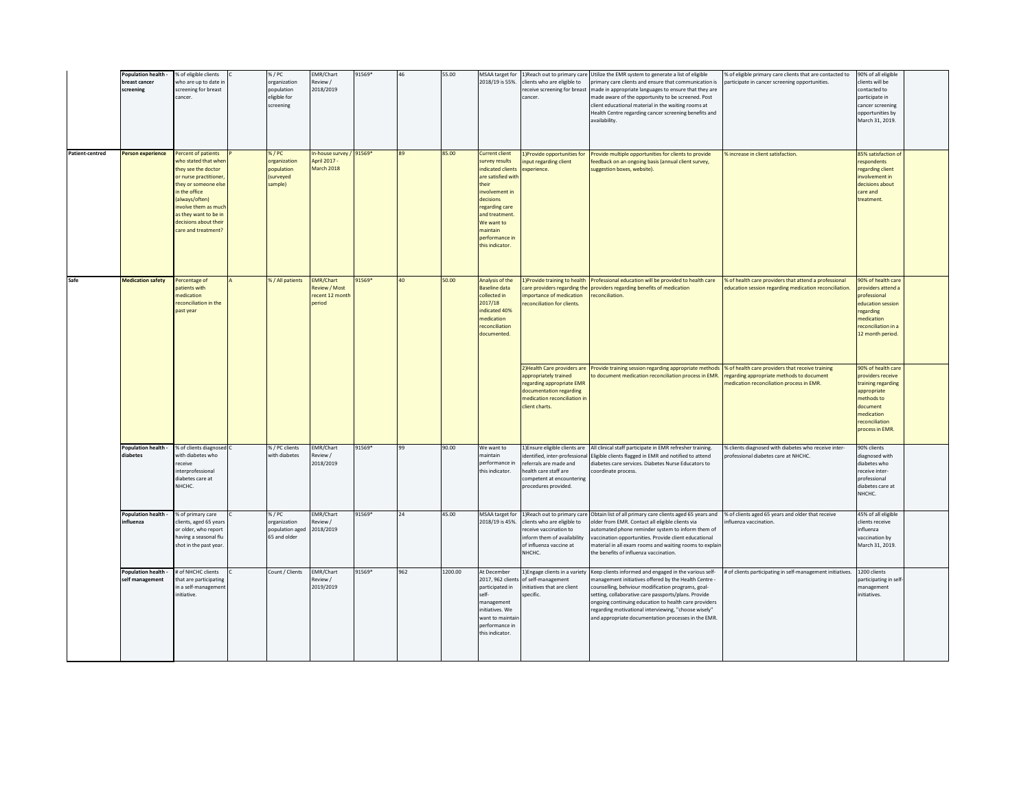|                 | Population health -<br>breast cancer<br>screening | % of eligible clients<br>who are up to date in<br>screening for breast<br>cancer.                                                                                                                                                                       | %/PC<br>organization<br>population<br>eligible for<br>screening | EMR/Chart<br>Review /<br>2018/2019                             | 91569* | 46  | 55.00   | MSAA target for<br>2018/19 is 55%.                                                                                                                                                                                            | lients who are eligible to<br>receive screening for breast<br>cancer                                                                                                   | 1) Reach out to primary care Utilize the EMR system to generate a list of eligible<br>primary care clients and ensure that communication is<br>made in appropriate languages to ensure that they are<br>made aware of the opportunity to be screened. Post<br>client educational material in the waiting rooms at<br>Health Centre regarding cancer screening benefits and<br>availability.          | % of eligible primary care clients that are contacted to<br>participate in cancer screening opportunities.                                 | 90% of all eligible<br>clients will be<br>contacted to<br>participate in<br>cancer screening<br>opportunities by<br>March 31, 2019.                     |  |
|-----------------|---------------------------------------------------|---------------------------------------------------------------------------------------------------------------------------------------------------------------------------------------------------------------------------------------------------------|-----------------------------------------------------------------|----------------------------------------------------------------|--------|-----|---------|-------------------------------------------------------------------------------------------------------------------------------------------------------------------------------------------------------------------------------|------------------------------------------------------------------------------------------------------------------------------------------------------------------------|------------------------------------------------------------------------------------------------------------------------------------------------------------------------------------------------------------------------------------------------------------------------------------------------------------------------------------------------------------------------------------------------------|--------------------------------------------------------------------------------------------------------------------------------------------|---------------------------------------------------------------------------------------------------------------------------------------------------------|--|
| Patient-centred | <b>Person experience</b>                          | Percent of patients<br>who stated that whe<br>they see the doctor<br>or nurse practitioner,<br>they or someone else<br>in the office<br>(always/often)<br>involve them as much<br>as they want to be in<br>decisions about their<br>care and treatment? | %/PC<br>organization<br>population<br>(surveyed<br>sample)      | n-house survey / 91569*<br>April 2017 -<br>March 2018          |        | 89  | 85.00   | <b>Current client</b><br>survey results<br>indicated clients<br>are satisfied with<br>their<br>involvement in<br>decisions<br>regarding care<br>and treatment.<br>We want to<br>maintain<br>performance in<br>this indicator. | 1)Provide opportunities for<br>input regarding client<br>experience.                                                                                                   | Provide multiple opportunities for clients to provide<br>eedback on an ongoing basis (annual client survey,<br>uggestion boxes, website).                                                                                                                                                                                                                                                            | % increase in client satisfaction.                                                                                                         | 85% satisfaction of<br>respondents<br>regarding client<br>involvement in<br>decisions about<br>care and<br>treatment.                                   |  |
| Safe            | <b>Medication safety</b>                          | Percentage of<br>atients with<br>medication<br>reconciliation in the<br>past year                                                                                                                                                                       | %/All patients                                                  | <b>EMR/Chart</b><br>Review / Most<br>recent 12 month<br>boired | 91569* | 40  | 50.00   | Analysis of the<br><b>Baseline data</b><br>collected in<br>2017/18<br>indicated 40%<br>medication<br>reconciliation<br>documented.                                                                                            | 1)Provide training to health<br>care providers regarding the<br>mportance of medication<br>econciliation for clients.                                                  | Professional education will be provided to health care<br>providers regarding benefits of medication<br>econciliation.                                                                                                                                                                                                                                                                               | % of health care providers that attend a professional<br>education session regarding medication reconciliation.                            | 90% of health care<br>providers attend a<br>professional<br>education session<br>regarding<br>medication<br>reconciliation in a<br>12 month period.     |  |
|                 |                                                   |                                                                                                                                                                                                                                                         |                                                                 |                                                                |        |     |         |                                                                                                                                                                                                                               | 2) Health Care providers are<br>appropriately trained<br>egarding appropriate EMR<br>documentation regarding<br>medication reconciliation in<br>lient charts.          | Provide training session regarding appropriate methods<br>o document medication reconciliation process in EMR.                                                                                                                                                                                                                                                                                       | % of health care providers that receive training<br>regarding appropriate methods to document<br>medication reconciliation process in EMR. | 0% of health care<br>providers receive<br>raining regarding<br>appropriate<br>methods to<br>document<br>medication<br>reconciliation<br>process in EMR. |  |
|                 | Population health -<br>diabetes                   | % of clients diagnosed<br>with diabetes who<br>receive<br>interprofessional<br>diabetes care at<br>NHCHC.                                                                                                                                               | %/PC clients<br>with diabetes                                   | <b>EMR/Chart</b><br>Review /<br>2018/2019                      | 91569* | 99  | 90.00   | We want to<br>maintain<br>performance in<br>this indicator.                                                                                                                                                                   | 1) Ensure eligible clients are<br>dentified, inter-professional<br>referrals are made and<br>health care staff are<br>competent at encountering<br>rocedures provided. | All clinical staff participate in EMR refresher training.<br>Eligible clients flagged in EMR and notified to attend<br>diabetes care services. Diabetes Nurse Educators to<br>coordinate process.                                                                                                                                                                                                    | % clients diagnosed with diabetes who receive inter-<br>professional diabetes care at NHCHC.                                               | 90% clients<br>diagnosed with<br>diabetes who<br>receive inter-<br>professional<br>diabetes care at<br>NHCHC.                                           |  |
|                 | Population health<br>nfluenza                     | % of primary care<br>clients, aged 65 years<br>or older, who report<br>having a seasonal flu<br>shot in the past year.                                                                                                                                  | 6/PC<br>organization<br>population aged<br>65 and older         | <b>EMR/Chart</b><br>Review /<br>2018/2019                      | 91569* | 24  | 45.00   | MSAA target for<br>2018/19 is 45%.                                                                                                                                                                                            | 1) Reach out to primary care<br>lients who are eligible to<br>eceive vaccination to<br>inform them of availability<br>of influenza vaccine at<br>NHCHC.                | Obtain list of all primary care clients aged 65 years and<br>older from EMR. Contact all eligible clients via<br>utomated phone reminder system to inform them of<br>vaccination opportunities. Provide client educational<br>naterial in all exam rooms and waiting rooms to explair<br>he benefits of influenza vaccination.                                                                       | % of clients aged 65 years and older that receive<br>nfluenza vaccination.                                                                 | 45% of all eligible<br>clients receive<br>influenza<br>vaccination by<br>March 31, 2019.                                                                |  |
|                 | <b>Population health</b><br>self management       | # of NHCHC clients<br>that are participating<br>in a self-management<br>initiative.                                                                                                                                                                     | Count / Clients                                                 | <b>EMR/Chart</b><br>Review /<br>2019/2019                      | 91569* | 962 | 1200.00 | At December<br>2017, 962 clients<br>participated in<br>self-<br>management<br>initiatives. We<br>want to maintai<br>performance in<br>this indicator.                                                                         | 1) Engage clients in a variety<br>of self-management<br>initiatives that are client<br>specific.                                                                       | Keep clients informed and engaged in the various self-<br>management initiatives offered by the Health Centre -<br>ounselling, behviour modification programs, goal-<br>setting, collaborative care passports/plans. Provide<br>ongoing continuing education to health care providers<br>regarding motivational interviewing, "choose wisely"<br>and appropriate documentation processes in the EMR. | # of clients participating in self-management initiatives.                                                                                 | 1200 clients<br>participating in self<br>management<br>initiatives.                                                                                     |  |